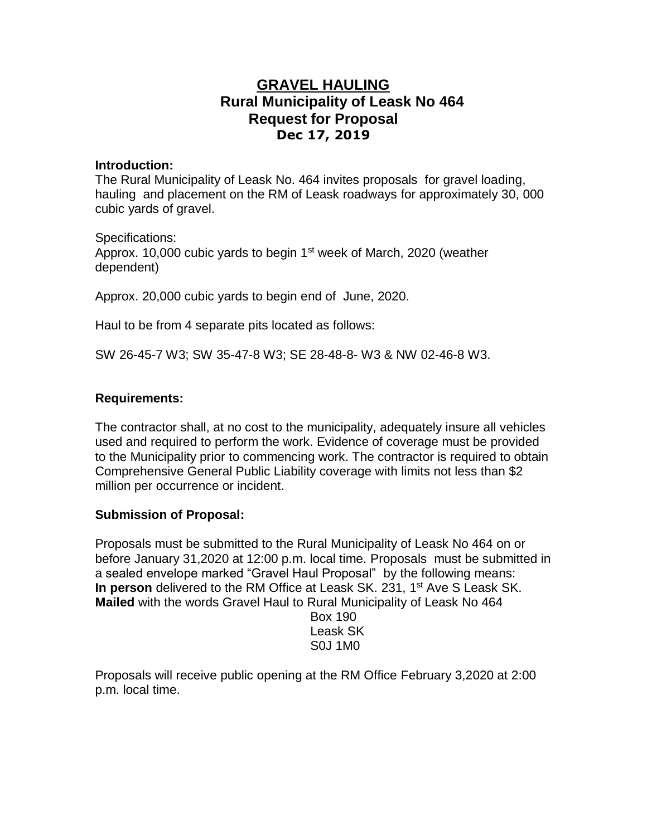# **GRAVEL HAULING Rural Municipality of Leask No 464 Request for Proposal Dec 17, 2019**

#### **Introduction:**

The Rural Municipality of Leask No. 464 invites proposals for gravel loading, hauling and placement on the RM of Leask roadways for approximately 30, 000 cubic yards of gravel.

Specifications: Approx. 10,000 cubic yards to begin  $1<sup>st</sup>$  week of March, 2020 (weather dependent)

Approx. 20,000 cubic yards to begin end of June, 2020.

Haul to be from 4 separate pits located as follows:

SW 26-45-7 W3; SW 35-47-8 W3; SE 28-48-8- W3 & NW 02-46-8 W3.

# **Requirements:**

The contractor shall, at no cost to the municipality, adequately insure all vehicles used and required to perform the work. Evidence of coverage must be provided to the Municipality prior to commencing work. The contractor is required to obtain Comprehensive General Public Liability coverage with limits not less than \$2 million per occurrence or incident.

# **Submission of Proposal:**

Proposals must be submitted to the Rural Municipality of Leask No 464 on or before January 31,2020 at 12:00 p.m. local time. Proposals must be submitted in a sealed envelope marked "Gravel Haul Proposal" by the following means: **In person** delivered to the RM Office at Leask SK, 231, 1<sup>st</sup> Ave S Leask SK. **Mailed** with the words Gravel Haul to Rural Municipality of Leask No 464

> Box 190 Leask SK S0J 1M0

Proposals will receive public opening at the RM Office February 3,2020 at 2:00 p.m. local time.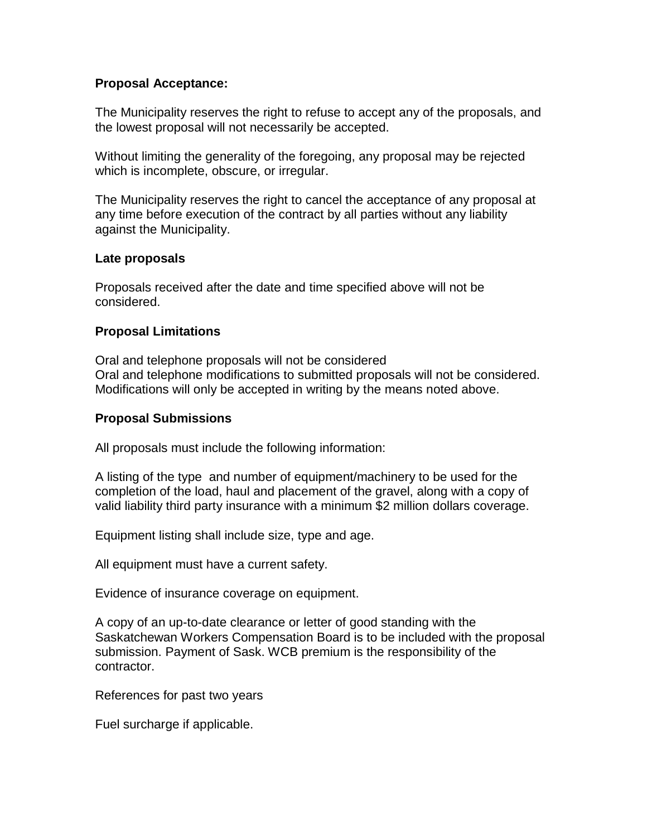# **Proposal Acceptance:**

The Municipality reserves the right to refuse to accept any of the proposals, and the lowest proposal will not necessarily be accepted.

Without limiting the generality of the foregoing, any proposal may be rejected which is incomplete, obscure, or irregular.

The Municipality reserves the right to cancel the acceptance of any proposal at any time before execution of the contract by all parties without any liability against the Municipality.

#### **Late proposals**

Proposals received after the date and time specified above will not be considered.

#### **Proposal Limitations**

Oral and telephone proposals will not be considered Oral and telephone modifications to submitted proposals will not be considered. Modifications will only be accepted in writing by the means noted above.

#### **Proposal Submissions**

All proposals must include the following information:

A listing of the type and number of equipment/machinery to be used for the completion of the load, haul and placement of the gravel, along with a copy of valid liability third party insurance with a minimum \$2 million dollars coverage.

Equipment listing shall include size, type and age.

All equipment must have a current safety.

Evidence of insurance coverage on equipment.

A copy of an up-to-date clearance or letter of good standing with the Saskatchewan Workers Compensation Board is to be included with the proposal submission. Payment of Sask. WCB premium is the responsibility of the contractor.

References for past two years

Fuel surcharge if applicable.